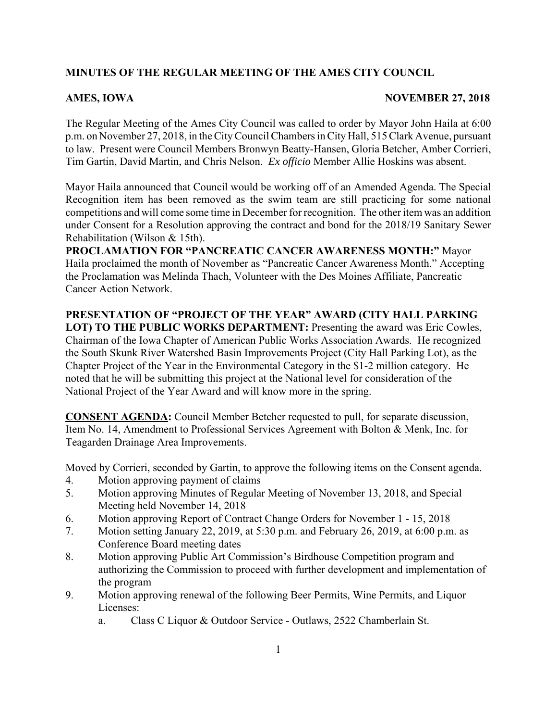# **MINUTES OF THE REGULAR MEETING OF THE AMES CITY COUNCIL**

## AMES, IOWA NOVEMBER 27, 2018

The Regular Meeting of the Ames City Council was called to order by Mayor John Haila at 6:00 p.m. on November 27, 2018, in the City Council Chambers in City Hall, 515 Clark Avenue, pursuant to law. Present were Council Members Bronwyn Beatty-Hansen, Gloria Betcher, Amber Corrieri, Tim Gartin, David Martin, and Chris Nelson. *Ex officio* Member Allie Hoskins was absent.

Mayor Haila announced that Council would be working off of an Amended Agenda. The Special Recognition item has been removed as the swim team are still practicing for some national competitions and will come some time in December for recognition. The other item was an addition under Consent for a Resolution approving the contract and bond for the 2018/19 Sanitary Sewer Rehabilitation (Wilson & 15th).

**PROCLAMATION FOR "PANCREATIC CANCER AWARENESS MONTH:"** Mayor Haila proclaimed the month of November as "Pancreatic Cancer Awareness Month." Accepting the Proclamation was Melinda Thach, Volunteer with the Des Moines Affiliate, Pancreatic Cancer Action Network.

**PRESENTATION OF "PROJECT OF THE YEAR" AWARD (CITY HALL PARKING LOT) TO THE PUBLIC WORKS DEPARTMENT:** Presenting the award was Eric Cowles, Chairman of the Iowa Chapter of American Public Works Association Awards. He recognized the South Skunk River Watershed Basin Improvements Project (City Hall Parking Lot), as the Chapter Project of the Year in the Environmental Category in the \$1-2 million category. He noted that he will be submitting this project at the National level for consideration of the National Project of the Year Award and will know more in the spring.

**CONSENT AGENDA:** Council Member Betcher requested to pull, for separate discussion, Item No. 14, Amendment to Professional Services Agreement with Bolton & Menk, Inc. for Teagarden Drainage Area Improvements.

Moved by Corrieri, seconded by Gartin, to approve the following items on the Consent agenda.

- 4. Motion approving payment of claims
- 5. Motion approving Minutes of Regular Meeting of November 13, 2018, and Special Meeting held November 14, 2018
- 6. Motion approving Report of Contract Change Orders for November 1 15, 2018
- 7. Motion setting January 22, 2019, at 5:30 p.m. and February 26, 2019, at 6:00 p.m. as Conference Board meeting dates
- 8. Motion approving Public Art Commission's Birdhouse Competition program and authorizing the Commission to proceed with further development and implementation of the program
- 9. Motion approving renewal of the following Beer Permits, Wine Permits, and Liquor Licenses:
	- a. Class C Liquor & Outdoor Service Outlaws, 2522 Chamberlain St.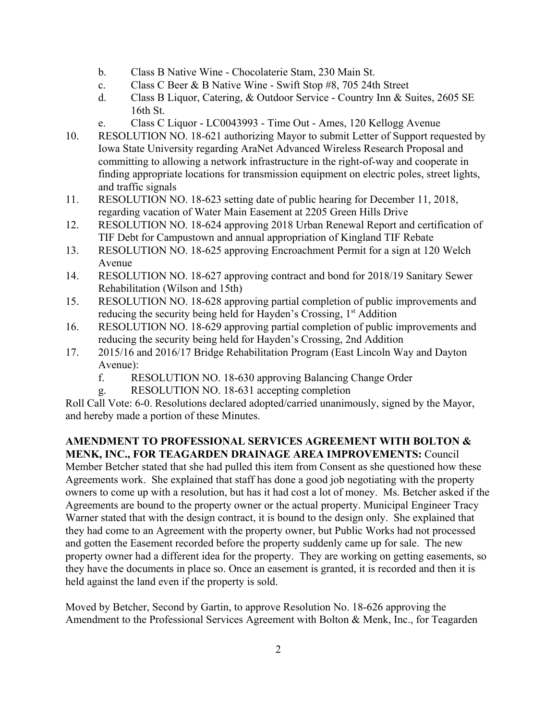- b. Class B Native Wine Chocolaterie Stam, 230 Main St.
- c. Class C Beer & B Native Wine Swift Stop #8, 705 24th Street
- d. Class B Liquor, Catering, & Outdoor Service Country Inn & Suites, 2605 SE 16th St.
- e. Class C Liquor LC0043993 Time Out Ames, 120 Kellogg Avenue
- 10. RESOLUTION NO. 18-621 authorizing Mayor to submit Letter of Support requested by Iowa State University regarding AraNet Advanced Wireless Research Proposal and committing to allowing a network infrastructure in the right-of-way and cooperate in finding appropriate locations for transmission equipment on electric poles, street lights, and traffic signals
- 11. RESOLUTION NO. 18-623 setting date of public hearing for December 11, 2018, regarding vacation of Water Main Easement at 2205 Green Hills Drive
- 12. RESOLUTION NO. 18-624 approving 2018 Urban Renewal Report and certification of TIF Debt for Campustown and annual appropriation of Kingland TIF Rebate
- 13. RESOLUTION NO. 18-625 approving Encroachment Permit for a sign at 120 Welch Avenue
- 14. RESOLUTION NO. 18-627 approving contract and bond for 2018/19 Sanitary Sewer Rehabilitation (Wilson and 15th)
- 15. RESOLUTION NO. 18-628 approving partial completion of public improvements and reducing the security being held for Hayden's Crossing, 1<sup>st</sup> Addition
- 16. RESOLUTION NO. 18-629 approving partial completion of public improvements and reducing the security being held for Hayden's Crossing, 2nd Addition
- 17. 2015/16 and 2016/17 Bridge Rehabilitation Program (East Lincoln Way and Dayton Avenue):
	- f. RESOLUTION NO. 18-630 approving Balancing Change Order
	- g. RESOLUTION NO. 18-631 accepting completion

Roll Call Vote: 6-0. Resolutions declared adopted/carried unanimously, signed by the Mayor, and hereby made a portion of these Minutes.

# **AMENDMENT TO PROFESSIONAL SERVICES AGREEMENT WITH BOLTON & MENK, INC., FOR TEAGARDEN DRAINAGE AREA IMPROVEMENTS:** Council

Member Betcher stated that she had pulled this item from Consent as she questioned how these Agreements work. She explained that staff has done a good job negotiating with the property owners to come up with a resolution, but has it had cost a lot of money. Ms. Betcher asked if the Agreements are bound to the property owner or the actual property. Municipal Engineer Tracy Warner stated that with the design contract, it is bound to the design only. She explained that they had come to an Agreement with the property owner, but Public Works had not processed and gotten the Easement recorded before the property suddenly came up for sale. The new property owner had a different idea for the property. They are working on getting easements, so they have the documents in place so. Once an easement is granted, it is recorded and then it is held against the land even if the property is sold.

Moved by Betcher, Second by Gartin, to approve Resolution No. 18-626 approving the Amendment to the Professional Services Agreement with Bolton & Menk, Inc., for Teagarden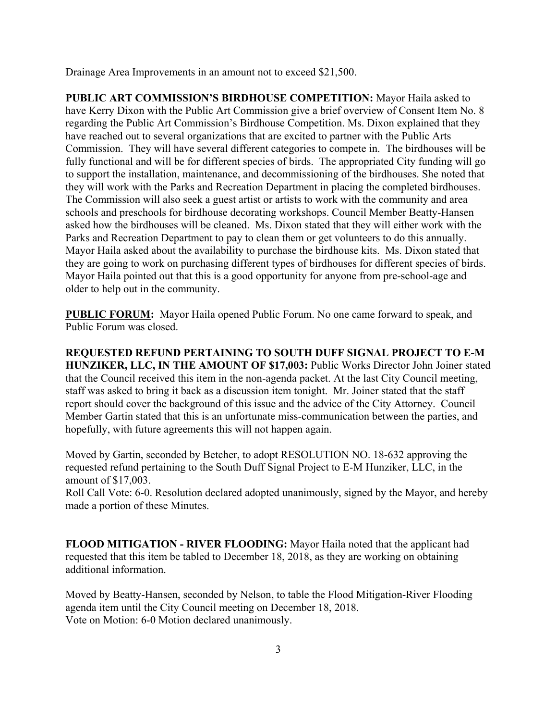Drainage Area Improvements in an amount not to exceed \$21,500.

**PUBLIC ART COMMISSION'S BIRDHOUSE COMPETITION:** Mayor Haila asked to have Kerry Dixon with the Public Art Commission give a brief overview of Consent Item No. 8 regarding the Public Art Commission's Birdhouse Competition. Ms. Dixon explained that they have reached out to several organizations that are excited to partner with the Public Arts Commission. They will have several different categories to compete in. The birdhouses will be fully functional and will be for different species of birds. The appropriated City funding will go to support the installation, maintenance, and decommissioning of the birdhouses. She noted that they will work with the Parks and Recreation Department in placing the completed birdhouses. The Commission will also seek a guest artist or artists to work with the community and area schools and preschools for birdhouse decorating workshops. Council Member Beatty-Hansen asked how the birdhouses will be cleaned. Ms. Dixon stated that they will either work with the Parks and Recreation Department to pay to clean them or get volunteers to do this annually. Mayor Haila asked about the availability to purchase the birdhouse kits. Ms. Dixon stated that they are going to work on purchasing different types of birdhouses for different species of birds. Mayor Haila pointed out that this is a good opportunity for anyone from pre-school-age and older to help out in the community.

**PUBLIC FORUM:** Mayor Haila opened Public Forum. No one came forward to speak, and Public Forum was closed.

**REQUESTED REFUND PERTAINING TO SOUTH DUFF SIGNAL PROJECT TO E-M HUNZIKER, LLC, IN THE AMOUNT OF \$17,003:** Public Works Director John Joiner stated that the Council received this item in the non-agenda packet. At the last City Council meeting, staff was asked to bring it back as a discussion item tonight. Mr. Joiner stated that the staff report should cover the background of this issue and the advice of the City Attorney. Council Member Gartin stated that this is an unfortunate miss-communication between the parties, and hopefully, with future agreements this will not happen again.

Moved by Gartin, seconded by Betcher, to adopt RESOLUTION NO. 18-632 approving the requested refund pertaining to the South Duff Signal Project to E-M Hunziker, LLC, in the amount of \$17,003.

Roll Call Vote: 6-0. Resolution declared adopted unanimously, signed by the Mayor, and hereby made a portion of these Minutes.

**FLOOD MITIGATION - RIVER FLOODING:** Mayor Haila noted that the applicant had requested that this item be tabled to December 18, 2018, as they are working on obtaining additional information.

Moved by Beatty-Hansen, seconded by Nelson, to table the Flood Mitigation-River Flooding agenda item until the City Council meeting on December 18, 2018. Vote on Motion: 6-0 Motion declared unanimously.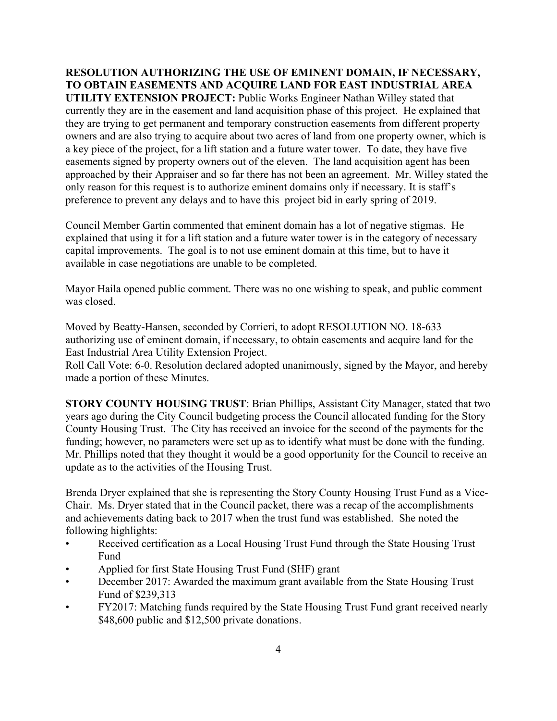**RESOLUTION AUTHORIZING THE USE OF EMINENT DOMAIN, IF NECESSARY, TO OBTAIN EASEMENTS AND ACQUIRE LAND FOR EAST INDUSTRIAL AREA UTILITY EXTENSION PROJECT:** Public Works Engineer Nathan Willey stated that currently they are in the easement and land acquisition phase of this project. He explained that they are trying to get permanent and temporary construction easements from different property owners and are also trying to acquire about two acres of land from one property owner, which is a key piece of the project, for a lift station and a future water tower. To date, they have five easements signed by property owners out of the eleven. The land acquisition agent has been approached by their Appraiser and so far there has not been an agreement. Mr. Willey stated the only reason for this request is to authorize eminent domains only if necessary. It is staff's preference to prevent any delays and to have this project bid in early spring of 2019.

Council Member Gartin commented that eminent domain has a lot of negative stigmas. He explained that using it for a lift station and a future water tower is in the category of necessary capital improvements. The goal is to not use eminent domain at this time, but to have it available in case negotiations are unable to be completed.

Mayor Haila opened public comment. There was no one wishing to speak, and public comment was closed.

Moved by Beatty-Hansen, seconded by Corrieri, to adopt RESOLUTION NO. 18-633 authorizing use of eminent domain, if necessary, to obtain easements and acquire land for the East Industrial Area Utility Extension Project.

Roll Call Vote: 6-0. Resolution declared adopted unanimously, signed by the Mayor, and hereby made a portion of these Minutes.

**STORY COUNTY HOUSING TRUST**: Brian Phillips, Assistant City Manager, stated that two years ago during the City Council budgeting process the Council allocated funding for the Story County Housing Trust. The City has received an invoice for the second of the payments for the funding; however, no parameters were set up as to identify what must be done with the funding. Mr. Phillips noted that they thought it would be a good opportunity for the Council to receive an update as to the activities of the Housing Trust.

Brenda Dryer explained that she is representing the Story County Housing Trust Fund as a Vice-Chair. Ms. Dryer stated that in the Council packet, there was a recap of the accomplishments and achievements dating back to 2017 when the trust fund was established. She noted the following highlights:

- Received certification as a Local Housing Trust Fund through the State Housing Trust Fund
- Applied for first State Housing Trust Fund (SHF) grant
- December 2017: Awarded the maximum grant available from the State Housing Trust Fund of \$239,313
- FY2017: Matching funds required by the State Housing Trust Fund grant received nearly \$48,600 public and \$12,500 private donations.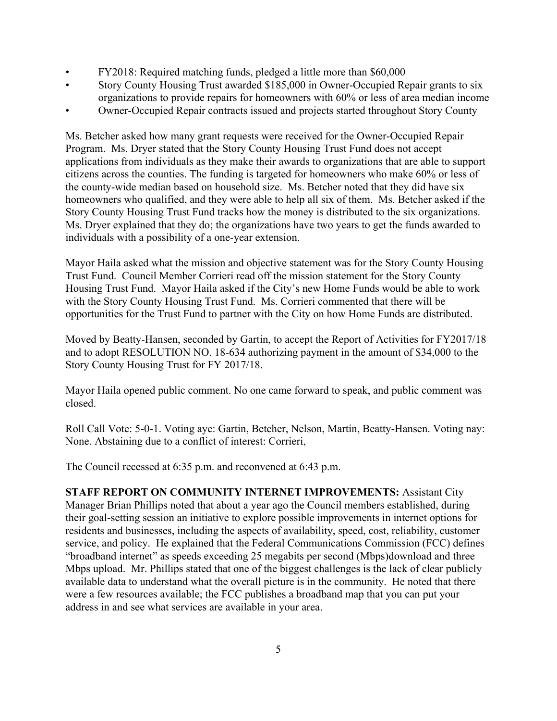- FY2018: Required matching funds, pledged a little more than \$60,000
- Story County Housing Trust awarded \$185,000 in Owner-Occupied Repair grants to six organizations to provide repairs for homeowners with 60% or less of area median income
- Owner-Occupied Repair contracts issued and projects started throughout Story County

Ms. Betcher asked how many grant requests were received for the Owner-Occupied Repair Program. Ms. Dryer stated that the Story County Housing Trust Fund does not accept applications from individuals as they make their awards to organizations that are able to support citizens across the counties. The funding is targeted for homeowners who make 60% or less of the county-wide median based on household size. Ms. Betcher noted that they did have six homeowners who qualified, and they were able to help all six of them. Ms. Betcher asked if the Story County Housing Trust Fund tracks how the money is distributed to the six organizations. Ms. Dryer explained that they do; the organizations have two years to get the funds awarded to individuals with a possibility of a one-year extension.

Mayor Haila asked what the mission and objective statement was for the Story County Housing Trust Fund. Council Member Corrieri read off the mission statement for the Story County Housing Trust Fund. Mayor Haila asked if the City's new Home Funds would be able to work with the Story County Housing Trust Fund. Ms. Corrieri commented that there will be opportunities for the Trust Fund to partner with the City on how Home Funds are distributed.

Moved by Beatty-Hansen, seconded by Gartin, to accept the Report of Activities for FY2017/18 and to adopt RESOLUTION NO. 18-634 authorizing payment in the amount of \$34,000 to the Story County Housing Trust for FY 2017/18.

Mayor Haila opened public comment. No one came forward to speak, and public comment was closed.

Roll Call Vote: 5-0-1. Voting aye: Gartin, Betcher, Nelson, Martin, Beatty-Hansen. Voting nay: None. Abstaining due to a conflict of interest: Corrieri,

The Council recessed at 6:35 p.m. and reconvened at 6:43 p.m.

**STAFF REPORT ON COMMUNITY INTERNET IMPROVEMENTS:** Assistant City Manager Brian Phillips noted that about a year ago the Council members established, during their goal-setting session an initiative to explore possible improvements in internet options for residents and businesses, including the aspects of availability, speed, cost, reliability, customer service, and policy. He explained that the Federal Communications Commission (FCC) defines "broadband internet" as speeds exceeding 25 megabits per second (Mbps)download and three Mbps upload. Mr. Phillips stated that one of the biggest challenges is the lack of clear publicly available data to understand what the overall picture is in the community. He noted that there were a few resources available; the FCC publishes a broadband map that you can put your address in and see what services are available in your area.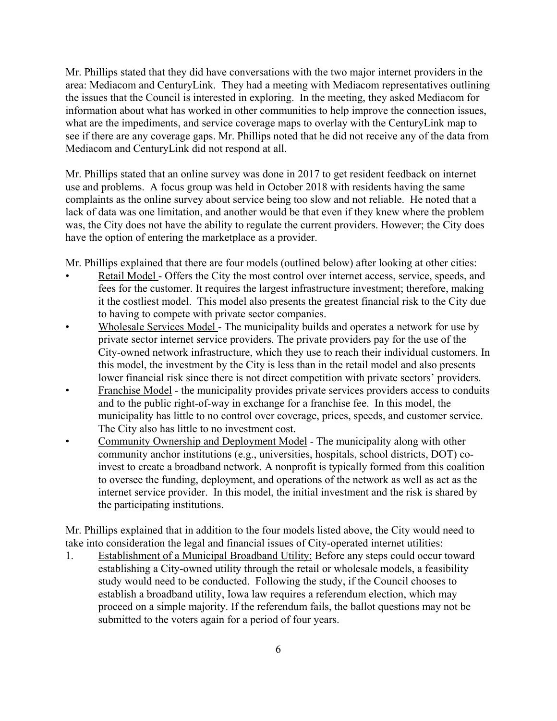Mr. Phillips stated that they did have conversations with the two major internet providers in the area: Mediacom and CenturyLink. They had a meeting with Mediacom representatives outlining the issues that the Council is interested in exploring. In the meeting, they asked Mediacom for information about what has worked in other communities to help improve the connection issues, what are the impediments, and service coverage maps to overlay with the CenturyLink map to see if there are any coverage gaps. Mr. Phillips noted that he did not receive any of the data from Mediacom and CenturyLink did not respond at all.

Mr. Phillips stated that an online survey was done in 2017 to get resident feedback on internet use and problems. A focus group was held in October 2018 with residents having the same complaints as the online survey about service being too slow and not reliable. He noted that a lack of data was one limitation, and another would be that even if they knew where the problem was, the City does not have the ability to regulate the current providers. However; the City does have the option of entering the marketplace as a provider.

Mr. Phillips explained that there are four models (outlined below) after looking at other cities:

- Retail Model Offers the City the most control over internet access, service, speeds, and fees for the customer. It requires the largest infrastructure investment; therefore, making it the costliest model. This model also presents the greatest financial risk to the City due to having to compete with private sector companies.
- Wholesale Services Model The municipality builds and operates a network for use by private sector internet service providers. The private providers pay for the use of the City-owned network infrastructure, which they use to reach their individual customers. In this model, the investment by the City is less than in the retail model and also presents lower financial risk since there is not direct competition with private sectors' providers.
- Franchise Model the municipality provides private services providers access to conduits and to the public right-of-way in exchange for a franchise fee. In this model, the municipality has little to no control over coverage, prices, speeds, and customer service. The City also has little to no investment cost.
- Community Ownership and Deployment Model The municipality along with other community anchor institutions (e.g., universities, hospitals, school districts, DOT) coinvest to create a broadband network. A nonprofit is typically formed from this coalition to oversee the funding, deployment, and operations of the network as well as act as the internet service provider. In this model, the initial investment and the risk is shared by the participating institutions.

Mr. Phillips explained that in addition to the four models listed above, the City would need to take into consideration the legal and financial issues of City-operated internet utilities:

1. Establishment of a Municipal Broadband Utility: Before any steps could occur toward establishing a City-owned utility through the retail or wholesale models, a feasibility study would need to be conducted. Following the study, if the Council chooses to establish a broadband utility, Iowa law requires a referendum election, which may proceed on a simple majority. If the referendum fails, the ballot questions may not be submitted to the voters again for a period of four years.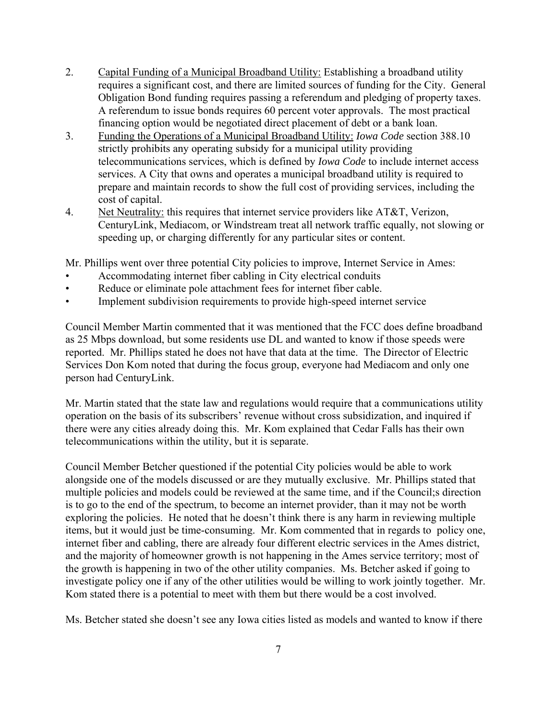- 2. Capital Funding of a Municipal Broadband Utility: Establishing a broadband utility requires a significant cost, and there are limited sources of funding for the City. General Obligation Bond funding requires passing a referendum and pledging of property taxes. A referendum to issue bonds requires 60 percent voter approvals. The most practical financing option would be negotiated direct placement of debt or a bank loan.
- 3. Funding the Operations of a Municipal Broadband Utility: *Iowa Code* section 388.10 strictly prohibits any operating subsidy for a municipal utility providing telecommunications services, which is defined by *Iowa Code* to include internet access services. A City that owns and operates a municipal broadband utility is required to prepare and maintain records to show the full cost of providing services, including the cost of capital.
- 4. Net Neutrality: this requires that internet service providers like AT&T, Verizon, CenturyLink, Mediacom, or Windstream treat all network traffic equally, not slowing or speeding up, or charging differently for any particular sites or content.

Mr. Phillips went over three potential City policies to improve, Internet Service in Ames:

- Accommodating internet fiber cabling in City electrical conduits
- Reduce or eliminate pole attachment fees for internet fiber cable.
- Implement subdivision requirements to provide high-speed internet service

Council Member Martin commented that it was mentioned that the FCC does define broadband as 25 Mbps download, but some residents use DL and wanted to know if those speeds were reported. Mr. Phillips stated he does not have that data at the time. The Director of Electric Services Don Kom noted that during the focus group, everyone had Mediacom and only one person had CenturyLink.

Mr. Martin stated that the state law and regulations would require that a communications utility operation on the basis of its subscribers' revenue without cross subsidization, and inquired if there were any cities already doing this. Mr. Kom explained that Cedar Falls has their own telecommunications within the utility, but it is separate.

Council Member Betcher questioned if the potential City policies would be able to work alongside one of the models discussed or are they mutually exclusive. Mr. Phillips stated that multiple policies and models could be reviewed at the same time, and if the Council;s direction is to go to the end of the spectrum, to become an internet provider, than it may not be worth exploring the policies. He noted that he doesn't think there is any harm in reviewing multiple items, but it would just be time-consuming. Mr. Kom commented that in regards to policy one, internet fiber and cabling, there are already four different electric services in the Ames district, and the majority of homeowner growth is not happening in the Ames service territory; most of the growth is happening in two of the other utility companies. Ms. Betcher asked if going to investigate policy one if any of the other utilities would be willing to work jointly together. Mr. Kom stated there is a potential to meet with them but there would be a cost involved.

Ms. Betcher stated she doesn't see any Iowa cities listed as models and wanted to know if there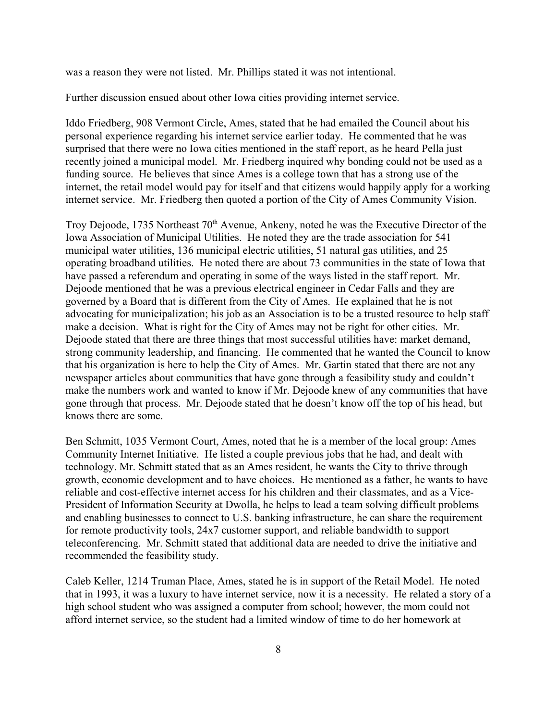was a reason they were not listed. Mr. Phillips stated it was not intentional.

Further discussion ensued about other Iowa cities providing internet service.

Iddo Friedberg, 908 Vermont Circle, Ames, stated that he had emailed the Council about his personal experience regarding his internet service earlier today. He commented that he was surprised that there were no Iowa cities mentioned in the staff report, as he heard Pella just recently joined a municipal model. Mr. Friedberg inquired why bonding could not be used as a funding source. He believes that since Ames is a college town that has a strong use of the internet, the retail model would pay for itself and that citizens would happily apply for a working internet service. Mr. Friedberg then quoted a portion of the City of Ames Community Vision.

Troy Dejoode, 1735 Northeast 70<sup>th</sup> Avenue, Ankeny, noted he was the Executive Director of the Iowa Association of Municipal Utilities. He noted they are the trade association for 541 municipal water utilities, 136 municipal electric utilities, 51 natural gas utilities, and 25 operating broadband utilities. He noted there are about 73 communities in the state of Iowa that have passed a referendum and operating in some of the ways listed in the staff report. Mr. Dejoode mentioned that he was a previous electrical engineer in Cedar Falls and they are governed by a Board that is different from the City of Ames. He explained that he is not advocating for municipalization; his job as an Association is to be a trusted resource to help staff make a decision. What is right for the City of Ames may not be right for other cities. Mr. Dejoode stated that there are three things that most successful utilities have: market demand, strong community leadership, and financing. He commented that he wanted the Council to know that his organization is here to help the City of Ames. Mr. Gartin stated that there are not any newspaper articles about communities that have gone through a feasibility study and couldn't make the numbers work and wanted to know if Mr. Dejoode knew of any communities that have gone through that process. Mr. Dejoode stated that he doesn't know off the top of his head, but knows there are some.

Ben Schmitt, 1035 Vermont Court, Ames, noted that he is a member of the local group: Ames Community Internet Initiative. He listed a couple previous jobs that he had, and dealt with technology. Mr. Schmitt stated that as an Ames resident, he wants the City to thrive through growth, economic development and to have choices. He mentioned as a father, he wants to have reliable and cost-effective internet access for his children and their classmates, and as a Vice-President of Information Security at Dwolla, he helps to lead a team solving difficult problems and enabling businesses to connect to U.S. banking infrastructure, he can share the requirement for remote productivity tools, 24x7 customer support, and reliable bandwidth to support teleconferencing. Mr. Schmitt stated that additional data are needed to drive the initiative and recommended the feasibility study.

Caleb Keller, 1214 Truman Place, Ames, stated he is in support of the Retail Model. He noted that in 1993, it was a luxury to have internet service, now it is a necessity. He related a story of a high school student who was assigned a computer from school; however, the mom could not afford internet service, so the student had a limited window of time to do her homework at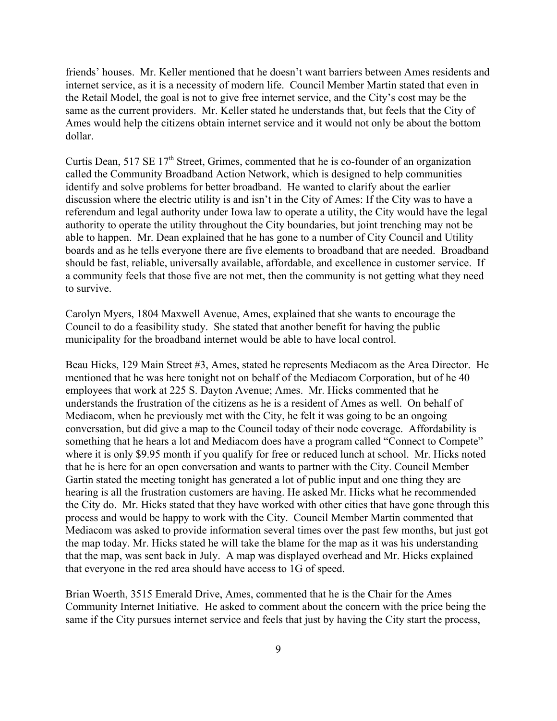friends' houses. Mr. Keller mentioned that he doesn't want barriers between Ames residents and internet service, as it is a necessity of modern life. Council Member Martin stated that even in the Retail Model, the goal is not to give free internet service, and the City's cost may be the same as the current providers. Mr. Keller stated he understands that, but feels that the City of Ames would help the citizens obtain internet service and it would not only be about the bottom dollar.

Curtis Dean, 517 SE 17<sup>th</sup> Street, Grimes, commented that he is co-founder of an organization called the Community Broadband Action Network, which is designed to help communities identify and solve problems for better broadband. He wanted to clarify about the earlier discussion where the electric utility is and isn't in the City of Ames: If the City was to have a referendum and legal authority under Iowa law to operate a utility, the City would have the legal authority to operate the utility throughout the City boundaries, but joint trenching may not be able to happen. Mr. Dean explained that he has gone to a number of City Council and Utility boards and as he tells everyone there are five elements to broadband that are needed. Broadband should be fast, reliable, universally available, affordable, and excellence in customer service. If a community feels that those five are not met, then the community is not getting what they need to survive.

Carolyn Myers, 1804 Maxwell Avenue, Ames, explained that she wants to encourage the Council to do a feasibility study. She stated that another benefit for having the public municipality for the broadband internet would be able to have local control.

Beau Hicks, 129 Main Street #3, Ames, stated he represents Mediacom as the Area Director. He mentioned that he was here tonight not on behalf of the Mediacom Corporation, but of he 40 employees that work at 225 S. Dayton Avenue; Ames. Mr. Hicks commented that he understands the frustration of the citizens as he is a resident of Ames as well. On behalf of Mediacom, when he previously met with the City, he felt it was going to be an ongoing conversation, but did give a map to the Council today of their node coverage. Affordability is something that he hears a lot and Mediacom does have a program called "Connect to Compete" where it is only \$9.95 month if you qualify for free or reduced lunch at school. Mr. Hicks noted that he is here for an open conversation and wants to partner with the City. Council Member Gartin stated the meeting tonight has generated a lot of public input and one thing they are hearing is all the frustration customers are having. He asked Mr. Hicks what he recommended the City do. Mr. Hicks stated that they have worked with other cities that have gone through this process and would be happy to work with the City. Council Member Martin commented that Mediacom was asked to provide information several times over the past few months, but just got the map today. Mr. Hicks stated he will take the blame for the map as it was his understanding that the map, was sent back in July. A map was displayed overhead and Mr. Hicks explained that everyone in the red area should have access to 1G of speed.

Brian Woerth, 3515 Emerald Drive, Ames, commented that he is the Chair for the Ames Community Internet Initiative. He asked to comment about the concern with the price being the same if the City pursues internet service and feels that just by having the City start the process,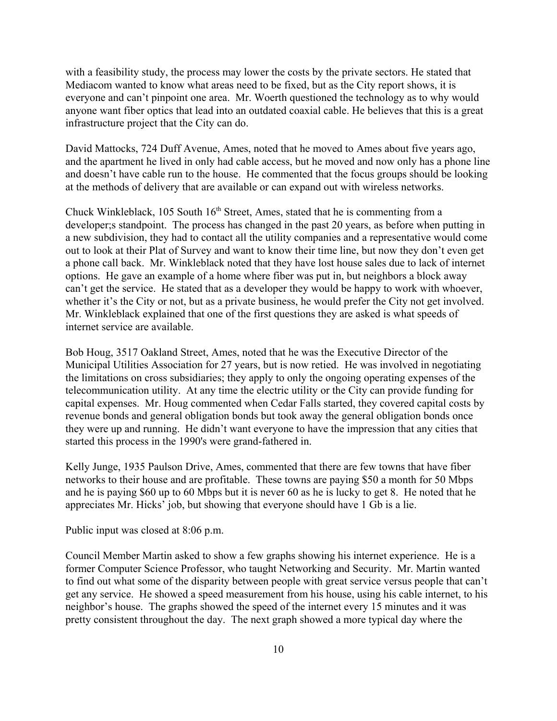with a feasibility study, the process may lower the costs by the private sectors. He stated that Mediacom wanted to know what areas need to be fixed, but as the City report shows, it is everyone and can't pinpoint one area. Mr. Woerth questioned the technology as to why would anyone want fiber optics that lead into an outdated coaxial cable. He believes that this is a great infrastructure project that the City can do.

David Mattocks, 724 Duff Avenue, Ames, noted that he moved to Ames about five years ago, and the apartment he lived in only had cable access, but he moved and now only has a phone line and doesn't have cable run to the house. He commented that the focus groups should be looking at the methods of delivery that are available or can expand out with wireless networks.

Chuck Winkleblack,  $105$  South  $16<sup>th</sup>$  Street, Ames, stated that he is commenting from a developer;s standpoint. The process has changed in the past 20 years, as before when putting in a new subdivision, they had to contact all the utility companies and a representative would come out to look at their Plat of Survey and want to know their time line, but now they don't even get a phone call back. Mr. Winkleblack noted that they have lost house sales due to lack of internet options. He gave an example of a home where fiber was put in, but neighbors a block away can't get the service. He stated that as a developer they would be happy to work with whoever, whether it's the City or not, but as a private business, he would prefer the City not get involved. Mr. Winkleblack explained that one of the first questions they are asked is what speeds of internet service are available.

Bob Houg, 3517 Oakland Street, Ames, noted that he was the Executive Director of the Municipal Utilities Association for 27 years, but is now retied. He was involved in negotiating the limitations on cross subsidiaries; they apply to only the ongoing operating expenses of the telecommunication utility. At any time the electric utility or the City can provide funding for capital expenses. Mr. Houg commented when Cedar Falls started, they covered capital costs by revenue bonds and general obligation bonds but took away the general obligation bonds once they were up and running. He didn't want everyone to have the impression that any cities that started this process in the 1990's were grand-fathered in.

Kelly Junge, 1935 Paulson Drive, Ames, commented that there are few towns that have fiber networks to their house and are profitable. These towns are paying \$50 a month for 50 Mbps and he is paying \$60 up to 60 Mbps but it is never 60 as he is lucky to get 8. He noted that he appreciates Mr. Hicks' job, but showing that everyone should have 1 Gb is a lie.

Public input was closed at 8:06 p.m.

Council Member Martin asked to show a few graphs showing his internet experience. He is a former Computer Science Professor, who taught Networking and Security. Mr. Martin wanted to find out what some of the disparity between people with great service versus people that can't get any service. He showed a speed measurement from his house, using his cable internet, to his neighbor's house. The graphs showed the speed of the internet every 15 minutes and it was pretty consistent throughout the day. The next graph showed a more typical day where the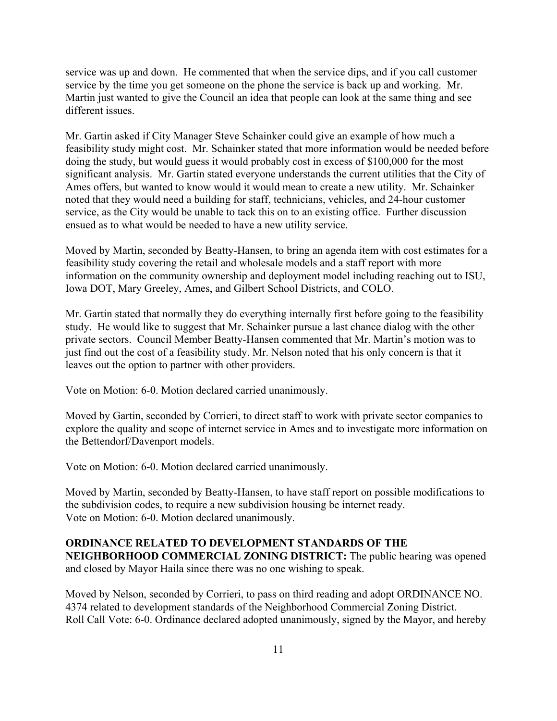service was up and down. He commented that when the service dips, and if you call customer service by the time you get someone on the phone the service is back up and working. Mr. Martin just wanted to give the Council an idea that people can look at the same thing and see different issues.

Mr. Gartin asked if City Manager Steve Schainker could give an example of how much a feasibility study might cost. Mr. Schainker stated that more information would be needed before doing the study, but would guess it would probably cost in excess of \$100,000 for the most significant analysis. Mr. Gartin stated everyone understands the current utilities that the City of Ames offers, but wanted to know would it would mean to create a new utility. Mr. Schainker noted that they would need a building for staff, technicians, vehicles, and 24-hour customer service, as the City would be unable to tack this on to an existing office. Further discussion ensued as to what would be needed to have a new utility service.

Moved by Martin, seconded by Beatty-Hansen, to bring an agenda item with cost estimates for a feasibility study covering the retail and wholesale models and a staff report with more information on the community ownership and deployment model including reaching out to ISU, Iowa DOT, Mary Greeley, Ames, and Gilbert School Districts, and COLO.

Mr. Gartin stated that normally they do everything internally first before going to the feasibility study. He would like to suggest that Mr. Schainker pursue a last chance dialog with the other private sectors. Council Member Beatty-Hansen commented that Mr. Martin's motion was to just find out the cost of a feasibility study. Mr. Nelson noted that his only concern is that it leaves out the option to partner with other providers.

Vote on Motion: 6-0. Motion declared carried unanimously.

Moved by Gartin, seconded by Corrieri, to direct staff to work with private sector companies to explore the quality and scope of internet service in Ames and to investigate more information on the Bettendorf/Davenport models.

Vote on Motion: 6-0. Motion declared carried unanimously.

Moved by Martin, seconded by Beatty-Hansen, to have staff report on possible modifications to the subdivision codes, to require a new subdivision housing be internet ready. Vote on Motion: 6-0. Motion declared unanimously.

## **ORDINANCE RELATED TO DEVELOPMENT STANDARDS OF THE**

**NEIGHBORHOOD COMMERCIAL ZONING DISTRICT:** The public hearing was opened and closed by Mayor Haila since there was no one wishing to speak.

Moved by Nelson, seconded by Corrieri, to pass on third reading and adopt ORDINANCE NO. 4374 related to development standards of the Neighborhood Commercial Zoning District. Roll Call Vote: 6-0. Ordinance declared adopted unanimously, signed by the Mayor, and hereby